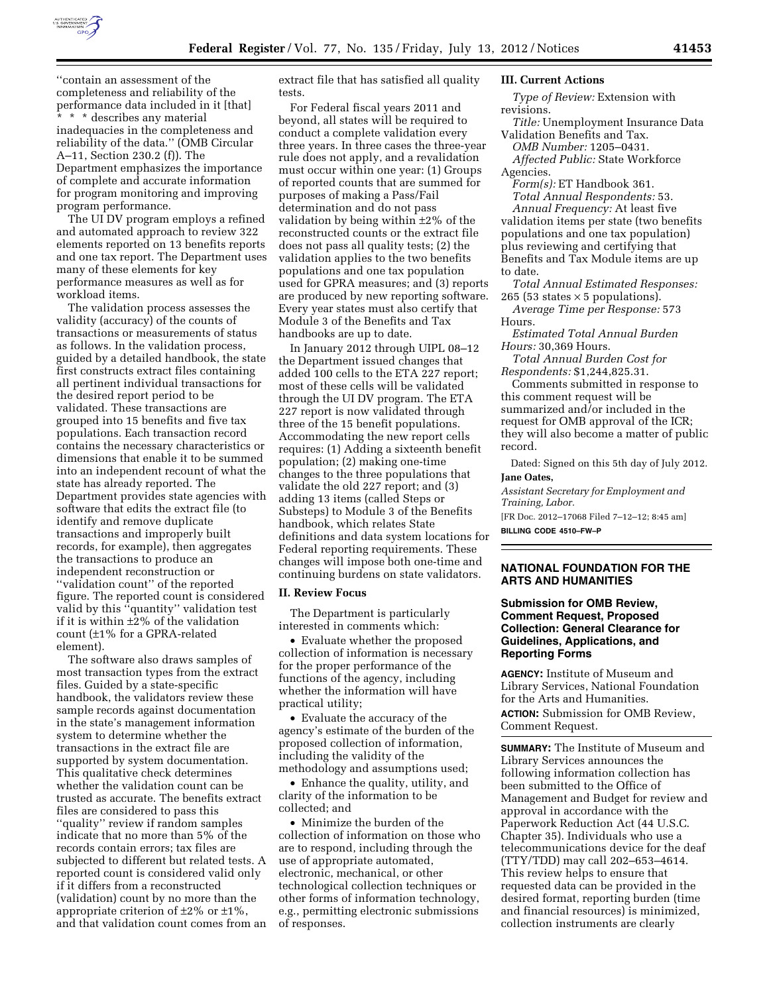

''contain an assessment of the completeness and reliability of the performance data included in it [that]

\* \* describes any material inadequacies in the completeness and reliability of the data.'' (OMB Circular A–11, Section 230.2 (f)). The Department emphasizes the importance of complete and accurate information for program monitoring and improving program performance.

The UI DV program employs a refined and automated approach to review 322 elements reported on 13 benefits reports and one tax report. The Department uses many of these elements for key performance measures as well as for workload items.

The validation process assesses the validity (accuracy) of the counts of transactions or measurements of status as follows. In the validation process, guided by a detailed handbook, the state first constructs extract files containing all pertinent individual transactions for the desired report period to be validated. These transactions are grouped into 15 benefits and five tax populations. Each transaction record contains the necessary characteristics or dimensions that enable it to be summed into an independent recount of what the state has already reported. The Department provides state agencies with software that edits the extract file (to identify and remove duplicate transactions and improperly built records, for example), then aggregates the transactions to produce an independent reconstruction or ''validation count'' of the reported figure. The reported count is considered valid by this ''quantity'' validation test if it is within ±2% of the validation count (±1% for a GPRA-related element).

The software also draws samples of most transaction types from the extract files. Guided by a state-specific handbook, the validators review these sample records against documentation in the state's management information system to determine whether the transactions in the extract file are supported by system documentation. This qualitative check determines whether the validation count can be trusted as accurate. The benefits extract files are considered to pass this ''quality'' review if random samples indicate that no more than 5% of the records contain errors; tax files are subjected to different but related tests. A reported count is considered valid only if it differs from a reconstructed (validation) count by no more than the appropriate criterion of  $\pm 2\%$  or  $\pm 1\%$ , and that validation count comes from an

extract file that has satisfied all quality tests.

For Federal fiscal years 2011 and beyond, all states will be required to conduct a complete validation every three years. In three cases the three-year rule does not apply, and a revalidation must occur within one year: (1) Groups of reported counts that are summed for purposes of making a Pass/Fail determination and do not pass validation by being within  $\pm 2\%$  of the reconstructed counts or the extract file does not pass all quality tests; (2) the validation applies to the two benefits populations and one tax population used for GPRA measures; and (3) reports are produced by new reporting software. Every year states must also certify that Module 3 of the Benefits and Tax handbooks are up to date.

In January 2012 through UIPL 08–12 the Department issued changes that added 100 cells to the ETA 227 report; most of these cells will be validated through the UI DV program. The ETA 227 report is now validated through three of the 15 benefit populations. Accommodating the new report cells requires: (1) Adding a sixteenth benefit population; (2) making one-time changes to the three populations that validate the old 227 report; and (3) adding 13 items (called Steps or Substeps) to Module 3 of the Benefits handbook, which relates State definitions and data system locations for Federal reporting requirements. These changes will impose both one-time and continuing burdens on state validators.

# **II. Review Focus**

The Department is particularly interested in comments which:

• Evaluate whether the proposed collection of information is necessary for the proper performance of the functions of the agency, including whether the information will have practical utility;

• Evaluate the accuracy of the agency's estimate of the burden of the proposed collection of information, including the validity of the methodology and assumptions used;

• Enhance the quality, utility, and clarity of the information to be collected; and

• Minimize the burden of the collection of information on those who are to respond, including through the use of appropriate automated, electronic, mechanical, or other technological collection techniques or other forms of information technology, e.g., permitting electronic submissions of responses.

#### **III. Current Actions**

*Type of Review:* Extension with revisions.

*Title:* Unemployment Insurance Data Validation Benefits and Tax.

*OMB Number:* 1205–0431. *Affected Public:* State Workforce

Agencies.

*Form(s):* ET Handbook 361. *Total Annual Respondents:* 53.

*Annual Frequency:* At least five validation items per state (two benefits populations and one tax population) plus reviewing and certifying that Benefits and Tax Module items are up to date.

*Total Annual Estimated Responses:*  265 (53 states  $\times$  5 populations).

*Average Time per Response:* 573 Hours.

*Estimated Total Annual Burden Hours:* 30,369 Hours.

*Total Annual Burden Cost for Respondents:* \$1,244,825.31.

Comments submitted in response to this comment request will be summarized and/or included in the request for OMB approval of the ICR; they will also become a matter of public record.

Dated: Signed on this 5th day of July 2012. **Jane Oates,** 

*Assistant Secretary for Employment and Training, Labor.* 

[FR Doc. 2012–17068 Filed 7–12–12; 8:45 am] **BILLING CODE 4510–FW–P** 

### **NATIONAL FOUNDATION FOR THE ARTS AND HUMANITIES**

# **Submission for OMB Review, Comment Request, Proposed Collection: General Clearance for Guidelines, Applications, and Reporting Forms**

**AGENCY:** Institute of Museum and Library Services, National Foundation for the Arts and Humanities. **ACTION:** Submission for OMB Review, Comment Request.

**SUMMARY:** The Institute of Museum and Library Services announces the following information collection has been submitted to the Office of Management and Budget for review and approval in accordance with the Paperwork Reduction Act (44 U.S.C. Chapter 35). Individuals who use a telecommunications device for the deaf (TTY/TDD) may call 202–653–4614. This review helps to ensure that requested data can be provided in the desired format, reporting burden (time and financial resources) is minimized, collection instruments are clearly